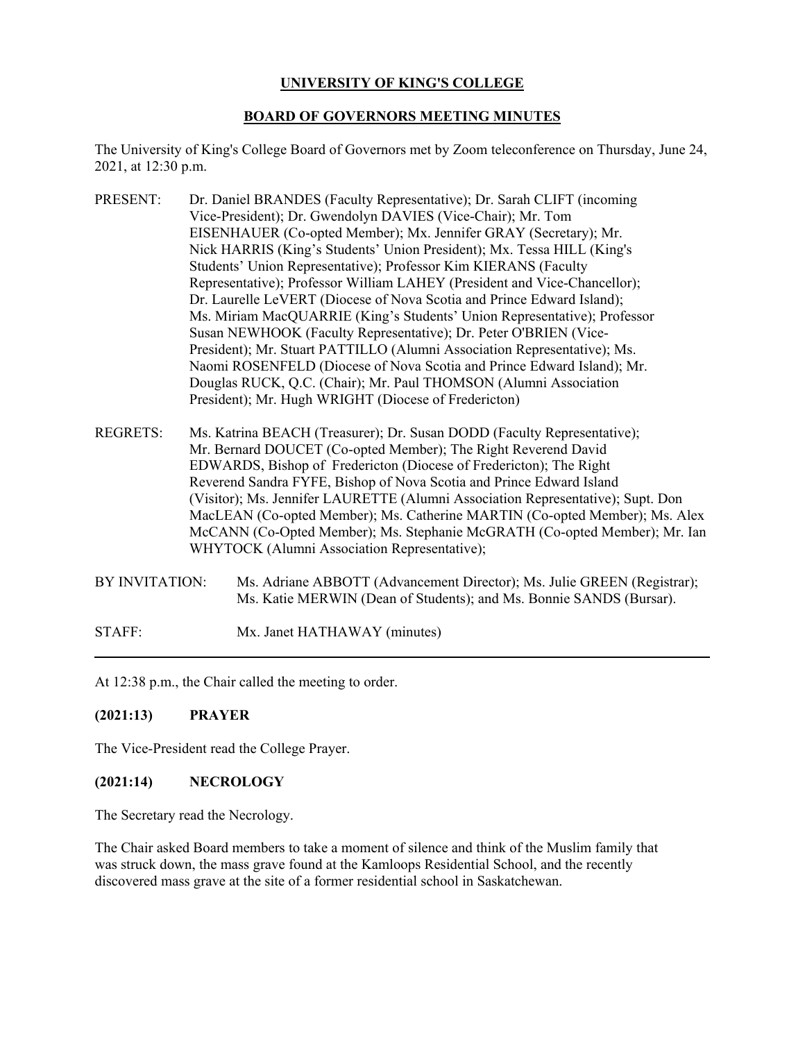# **UNIVERSITY OF KING'S COLLEGE**

## **BOARD OF GOVERNORS MEETING MINUTES**

The University of King's College Board of Governors met by Zoom teleconference on Thursday, June 24, 2021, at 12:30 p.m.

- PRESENT: Dr. Daniel BRANDES (Faculty Representative); Dr. Sarah CLIFT (incoming Vice-President); Dr. Gwendolyn DAVIES (Vice-Chair); Mr. Tom EISENHAUER (Co-opted Member); Mx. Jennifer GRAY (Secretary); Mr. Nick HARRIS (King's Students' Union President); Mx. Tessa HILL (King's Students' Union Representative); Professor Kim KIERANS (Faculty Representative); Professor William LAHEY (President and Vice-Chancellor); Dr. Laurelle LeVERT (Diocese of Nova Scotia and Prince Edward Island); Ms. Miriam MacQUARRIE (King's Students' Union Representative); Professor Susan NEWHOOK (Faculty Representative); Dr. Peter O'BRIEN (Vice-President); Mr. Stuart PATTILLO (Alumni Association Representative); Ms. Naomi ROSENFELD (Diocese of Nova Scotia and Prince Edward Island); Mr. Douglas RUCK, Q.C. (Chair); Mr. Paul THOMSON (Alumni Association President); Mr. Hugh WRIGHT (Diocese of Fredericton)
- REGRETS: Ms. Katrina BEACH (Treasurer); Dr. Susan DODD (Faculty Representative); Mr. Bernard DOUCET (Co-opted Member); The Right Reverend David EDWARDS, Bishop of Fredericton (Diocese of Fredericton); The Right Reverend Sandra FYFE, Bishop of Nova Scotia and Prince Edward Island (Visitor); Ms. Jennifer LAURETTE (Alumni Association Representative); Supt. Don MacLEAN (Co-opted Member); Ms. Catherine MARTIN (Co-opted Member); Ms. Alex McCANN (Co-Opted Member); Ms. Stephanie McGRATH (Co-opted Member); Mr. Ian WHYTOCK (Alumni Association Representative);
- BY INVITATION: Ms. Adriane ABBOTT (Advancement Director); Ms. Julie GREEN (Registrar); Ms. Katie MERWIN (Dean of Students); and Ms. Bonnie SANDS (Bursar).

STAFF: Mx. Janet HATHAWAY (minutes)

At 12:38 p.m., the Chair called the meeting to order.

# **(2021:13) PRAYER**

The Vice-President read the College Prayer.

# **(2021:14) NECROLOGY**

The Secretary read the Necrology.

The Chair asked Board members to take a moment of silence and think of the Muslim family that was struck down, the mass grave found at the Kamloops Residential School, and the recently discovered mass grave at the site of a former residential school in Saskatchewan.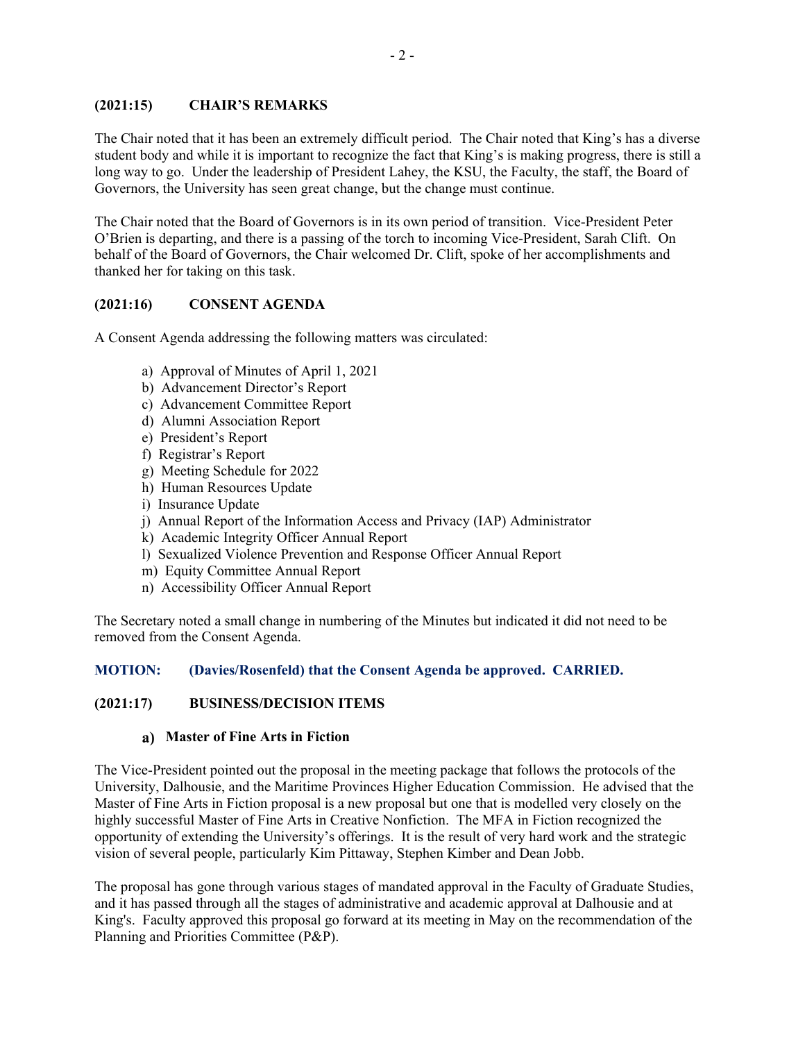## **(2021:15) CHAIR'S REMARKS**

The Chair noted that it has been an extremely difficult period. The Chair noted that King's has a diverse student body and while it is important to recognize the fact that King's is making progress, there is still a long way to go. Under the leadership of President Lahey, the KSU, the Faculty, the staff, the Board of Governors, the University has seen great change, but the change must continue.

The Chair noted that the Board of Governors is in its own period of transition. Vice-President Peter O'Brien is departing, and there is a passing of the torch to incoming Vice-President, Sarah Clift. On behalf of the Board of Governors, the Chair welcomed Dr. Clift, spoke of her accomplishments and thanked her for taking on this task.

# **(2021:16) CONSENT AGENDA**

A Consent Agenda addressing the following matters was circulated:

- a) Approval of Minutes of April 1, 2021
- b) Advancement Director's Report
- c) Advancement Committee Report
- d) Alumni Association Report
- e) President's Report
- f) Registrar's Report
- g) Meeting Schedule for 2022
- h) Human Resources Update
- i) Insurance Update
- j) Annual Report of the Information Access and Privacy (IAP) Administrator
- k) Academic Integrity Officer Annual Report
- l) Sexualized Violence Prevention and Response Officer Annual Report
- m) Equity Committee Annual Report
- n) Accessibility Officer Annual Report

The Secretary noted a small change in numbering of the Minutes but indicated it did not need to be removed from the Consent Agenda.

## **MOTION: (Davies/Rosenfeld) that the Consent Agenda be approved. CARRIED.**

#### **(2021:17) BUSINESS/DECISION ITEMS**

#### **Master of Fine Arts in Fiction**

The Vice-President pointed out the proposal in the meeting package that follows the protocols of the University, Dalhousie, and the Maritime Provinces Higher Education Commission. He advised that the Master of Fine Arts in Fiction proposal is a new proposal but one that is modelled very closely on the highly successful Master of Fine Arts in Creative Nonfiction. The MFA in Fiction recognized the opportunity of extending the University's offerings. It is the result of very hard work and the strategic vision of several people, particularly Kim Pittaway, Stephen Kimber and Dean Jobb.

The proposal has gone through various stages of mandated approval in the Faculty of Graduate Studies, and it has passed through all the stages of administrative and academic approval at Dalhousie and at King's. Faculty approved this proposal go forward at its meeting in May on the recommendation of the Planning and Priorities Committee (P&P).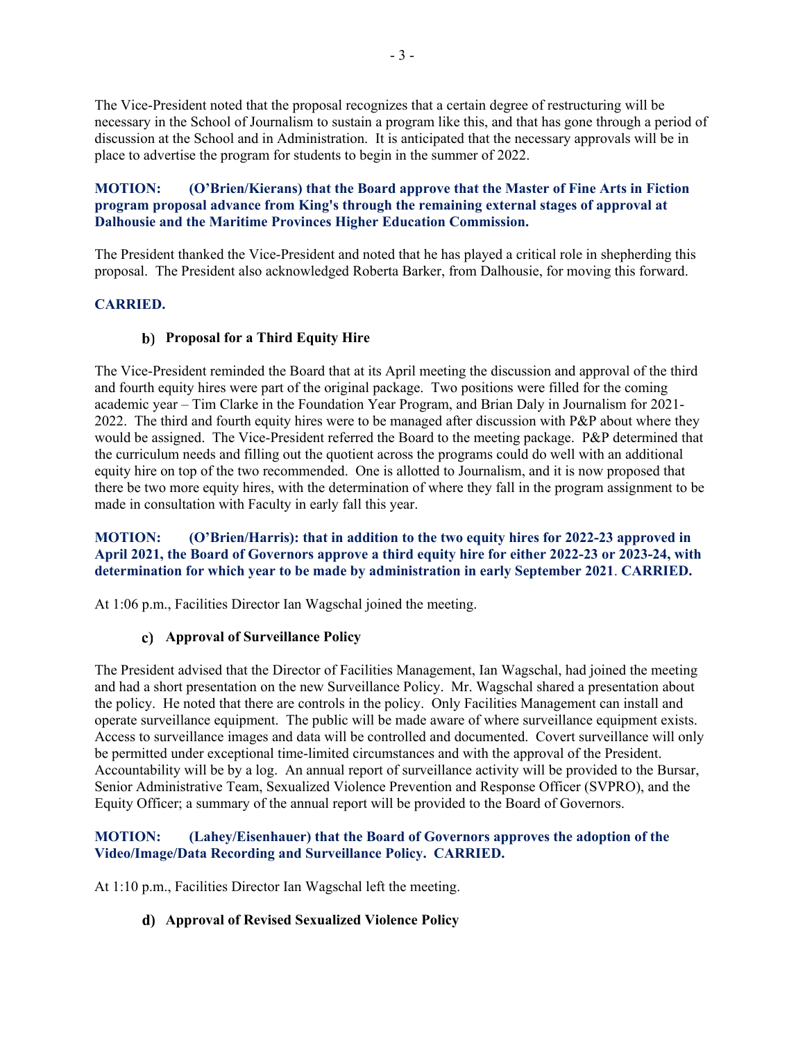The Vice-President noted that the proposal recognizes that a certain degree of restructuring will be necessary in the School of Journalism to sustain a program like this, and that has gone through a period of discussion at the School and in Administration. It is anticipated that the necessary approvals will be in place to advertise the program for students to begin in the summer of 2022.

**MOTION: (O'Brien/Kierans) that the Board approve that the Master of Fine Arts in Fiction program proposal advance from King's through the remaining external stages of approval at Dalhousie and the Maritime Provinces Higher Education Commission.**

The President thanked the Vice-President and noted that he has played a critical role in shepherding this proposal. The President also acknowledged Roberta Barker, from Dalhousie, for moving this forward.

# **CARRIED.**

## **Proposal for a Third Equity Hire**

The Vice-President reminded the Board that at its April meeting the discussion and approval of the third and fourth equity hires were part of the original package. Two positions were filled for the coming academic year – Tim Clarke in the Foundation Year Program, and Brian Daly in Journalism for 2021- 2022. The third and fourth equity hires were to be managed after discussion with P&P about where they would be assigned. The Vice-President referred the Board to the meeting package. P&P determined that the curriculum needs and filling out the quotient across the programs could do well with an additional equity hire on top of the two recommended. One is allotted to Journalism, and it is now proposed that there be two more equity hires, with the determination of where they fall in the program assignment to be made in consultation with Faculty in early fall this year.

**MOTION: (O'Brien/Harris): that in addition to the two equity hires for 2022-23 approved in April 2021, the Board of Governors approve a third equity hire for either 2022-23 or 2023-24, with determination for which year to be made by administration in early September 2021**. **CARRIED.**

At 1:06 p.m., Facilities Director Ian Wagschal joined the meeting.

## **Approval of Surveillance Policy**

The President advised that the Director of Facilities Management, Ian Wagschal, had joined the meeting and had a short presentation on the new Surveillance Policy. Mr. Wagschal shared a presentation about the policy. He noted that there are controls in the policy. Only Facilities Management can install and operate surveillance equipment. The public will be made aware of where surveillance equipment exists. Access to surveillance images and data will be controlled and documented. Covert surveillance will only be permitted under exceptional time-limited circumstances and with the approval of the President. Accountability will be by a log. An annual report of surveillance activity will be provided to the Bursar, Senior Administrative Team, Sexualized Violence Prevention and Response Officer (SVPRO), and the Equity Officer; a summary of the annual report will be provided to the Board of Governors.

## **MOTION: (Lahey/Eisenhauer) that the Board of Governors approves the adoption of the Video/Image/Data Recording and Surveillance Policy. CARRIED.**

At 1:10 p.m., Facilities Director Ian Wagschal left the meeting.

## **Approval of Revised Sexualized Violence Policy**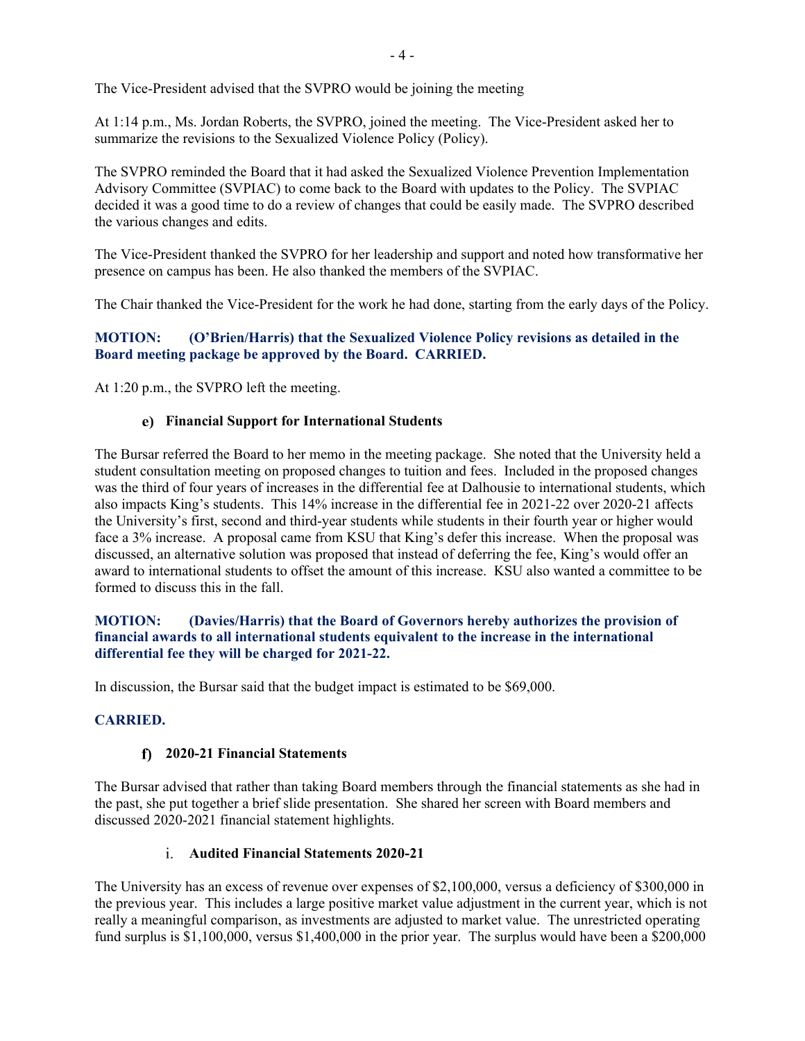The Vice-President advised that the SVPRO would be joining the meeting

At 1:14 p.m., Ms. Jordan Roberts, the SVPRO, joined the meeting. The Vice-President asked her to summarize the revisions to the Sexualized Violence Policy (Policy).

The SVPRO reminded the Board that it had asked the Sexualized Violence Prevention Implementation Advisory Committee (SVPIAC) to come back to the Board with updates to the Policy. The SVPIAC decided it was a good time to do a review of changes that could be easily made. The SVPRO described the various changes and edits.

The Vice-President thanked the SVPRO for her leadership and support and noted how transformative her presence on campus has been. He also thanked the members of the SVPIAC.

The Chair thanked the Vice-President for the work he had done, starting from the early days of the Policy.

# **MOTION: (O'Brien/Harris) that the Sexualized Violence Policy revisions as detailed in the Board meeting package be approved by the Board. CARRIED.**

At 1:20 p.m., the SVPRO left the meeting.

# **Financial Support for International Students**

The Bursar referred the Board to her memo in the meeting package. She noted that the University held a student consultation meeting on proposed changes to tuition and fees. Included in the proposed changes was the third of four years of increases in the differential fee at Dalhousie to international students, which also impacts King's students. This 14% increase in the differential fee in 2021-22 over 2020-21 affects the University's first, second and third-year students while students in their fourth year or higher would face a 3% increase. A proposal came from KSU that King's defer this increase. When the proposal was discussed, an alternative solution was proposed that instead of deferring the fee, King's would offer an award to international students to offset the amount of this increase. KSU also wanted a committee to be formed to discuss this in the fall.

## **MOTION: (Davies/Harris) that the Board of Governors hereby authorizes the provision of financial awards to all international students equivalent to the increase in the international differential fee they will be charged for 2021-22.**

In discussion, the Bursar said that the budget impact is estimated to be \$69,000.

# **CARRIED.**

# **2020-21 Financial Statements**

The Bursar advised that rather than taking Board members through the financial statements as she had in the past, she put together a brief slide presentation. She shared her screen with Board members and discussed 2020-2021 financial statement highlights.

# **Audited Financial Statements 2020-21**

The University has an excess of revenue over expenses of \$2,100,000, versus a deficiency of \$300,000 in the previous year. This includes a large positive market value adjustment in the current year, which is not really a meaningful comparison, as investments are adjusted to market value. The unrestricted operating fund surplus is \$1,100,000, versus \$1,400,000 in the prior year. The surplus would have been a \$200,000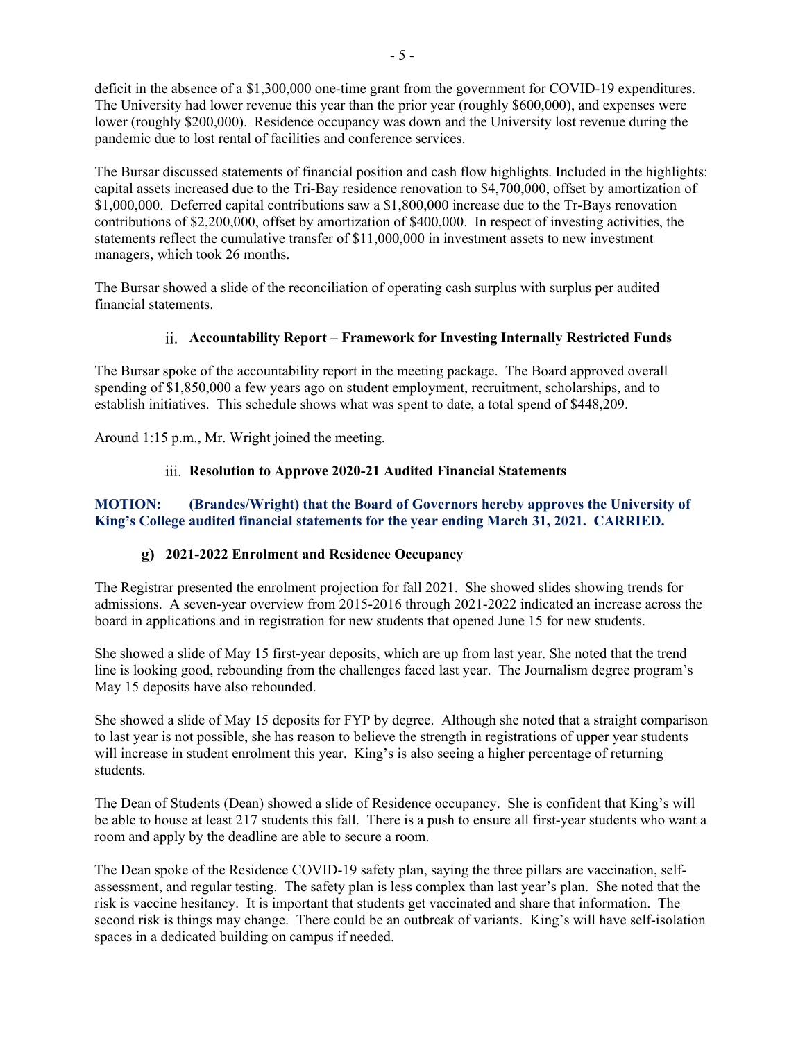deficit in the absence of a \$1,300,000 one-time grant from the government for COVID-19 expenditures. The University had lower revenue this year than the prior year (roughly \$600,000), and expenses were lower (roughly \$200,000). Residence occupancy was down and the University lost revenue during the pandemic due to lost rental of facilities and conference services.

The Bursar discussed statements of financial position and cash flow highlights. Included in the highlights: capital assets increased due to the Tri-Bay residence renovation to \$4,700,000, offset by amortization of \$1,000,000. Deferred capital contributions saw a \$1,800,000 increase due to the Tr-Bays renovation contributions of \$2,200,000, offset by amortization of \$400,000. In respect of investing activities, the statements reflect the cumulative transfer of \$11,000,000 in investment assets to new investment managers, which took 26 months.

The Bursar showed a slide of the reconciliation of operating cash surplus with surplus per audited financial statements.

# **Accountability Report – Framework for Investing Internally Restricted Funds**

The Bursar spoke of the accountability report in the meeting package. The Board approved overall spending of \$1,850,000 a few years ago on student employment, recruitment, scholarships, and to establish initiatives. This schedule shows what was spent to date, a total spend of \$448,209.

Around 1:15 p.m., Mr. Wright joined the meeting.

# **Resolution to Approve 2020-21 Audited Financial Statements**

# **MOTION: (Brandes/Wright) that the Board of Governors hereby approves the University of King's College audited financial statements for the year ending March 31, 2021. CARRIED.**

## **2021-2022 Enrolment and Residence Occupancy**

The Registrar presented the enrolment projection for fall 2021. She showed slides showing trends for admissions. A seven-year overview from 2015-2016 through 2021-2022 indicated an increase across the board in applications and in registration for new students that opened June 15 for new students.

She showed a slide of May 15 first-year deposits, which are up from last year. She noted that the trend line is looking good, rebounding from the challenges faced last year. The Journalism degree program's May 15 deposits have also rebounded.

She showed a slide of May 15 deposits for FYP by degree. Although she noted that a straight comparison to last year is not possible, she has reason to believe the strength in registrations of upper year students will increase in student enrolment this year. King's is also seeing a higher percentage of returning students.

The Dean of Students (Dean) showed a slide of Residence occupancy. She is confident that King's will be able to house at least 217 students this fall. There is a push to ensure all first-year students who want a room and apply by the deadline are able to secure a room.

The Dean spoke of the Residence COVID-19 safety plan, saying the three pillars are vaccination, selfassessment, and regular testing. The safety plan is less complex than last year's plan. She noted that the risk is vaccine hesitancy. It is important that students get vaccinated and share that information. The second risk is things may change. There could be an outbreak of variants. King's will have self-isolation spaces in a dedicated building on campus if needed.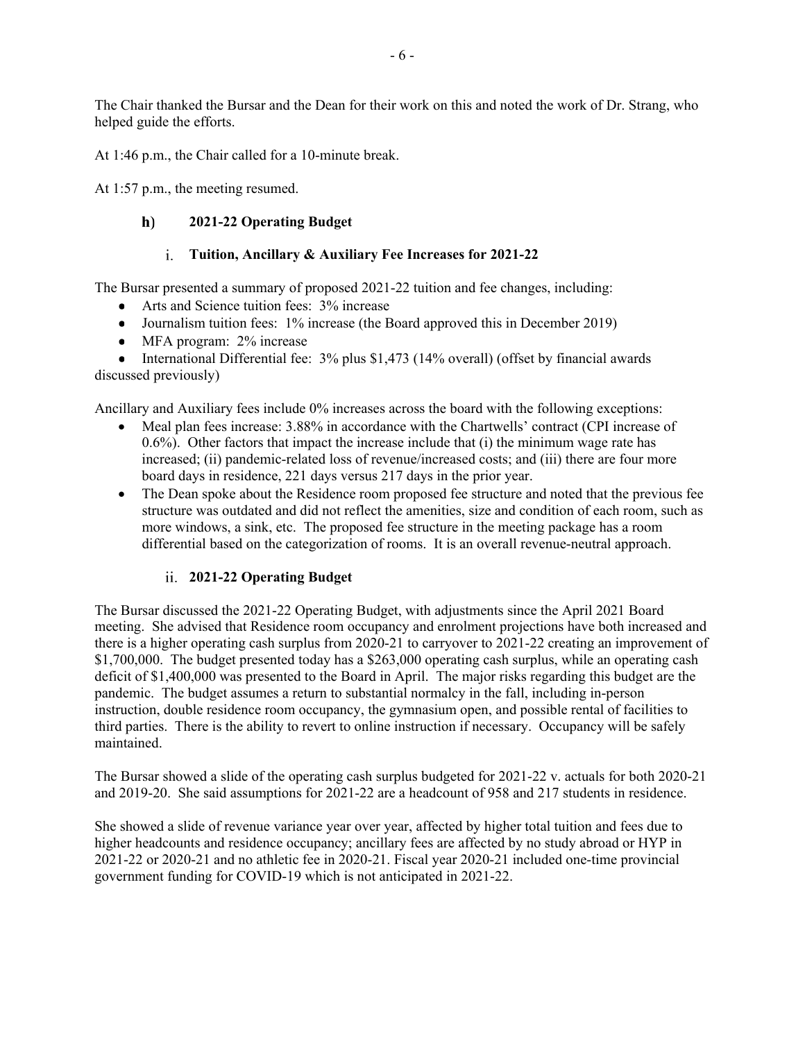The Chair thanked the Bursar and the Dean for their work on this and noted the work of Dr. Strang, who helped guide the efforts.

At 1:46 p.m., the Chair called for a 10-minute break.

At 1:57 p.m., the meeting resumed.

#### $h)$ **2021-22 Operating Budget**

## **Tuition, Ancillary & Auxiliary Fee Increases for 2021-22**

The Bursar presented a summary of proposed 2021-22 tuition and fee changes, including:

- Arts and Science tuition fees: 3% increase
- Journalism tuition fees: 1% increase (the Board approved this in December 2019)
- MFA program: 2% increase

• International Differential fee: 3% plus \$1,473 (14% overall) (offset by financial awards discussed previously)

Ancillary and Auxiliary fees include 0% increases across the board with the following exceptions:

- Meal plan fees increase: 3.88% in accordance with the Chartwells' contract (CPI increase of  $(0.6\%)$ . Other factors that impact the increase include that (i) the minimum wage rate has increased; (ii) pandemic-related loss of revenue/increased costs; and (iii) there are four more board days in residence, 221 days versus 217 days in the prior year.
- The Dean spoke about the Residence room proposed fee structure and noted that the previous fee structure was outdated and did not reflect the amenities, size and condition of each room, such as more windows, a sink, etc. The proposed fee structure in the meeting package has a room differential based on the categorization of rooms. It is an overall revenue-neutral approach.

## **2021-22 Operating Budget**

The Bursar discussed the 2021-22 Operating Budget, with adjustments since the April 2021 Board meeting. She advised that Residence room occupancy and enrolment projections have both increased and there is a higher operating cash surplus from 2020-21 to carryover to 2021-22 creating an improvement of \$1,700,000. The budget presented today has a \$263,000 operating cash surplus, while an operating cash deficit of \$1,400,000 was presented to the Board in April. The major risks regarding this budget are the pandemic. The budget assumes a return to substantial normalcy in the fall, including in-person instruction, double residence room occupancy, the gymnasium open, and possible rental of facilities to third parties. There is the ability to revert to online instruction if necessary. Occupancy will be safely maintained.

The Bursar showed a slide of the operating cash surplus budgeted for 2021-22 v. actuals for both 2020-21 and 2019-20. She said assumptions for 2021-22 are a headcount of 958 and 217 students in residence.

She showed a slide of revenue variance year over year, affected by higher total tuition and fees due to higher headcounts and residence occupancy; ancillary fees are affected by no study abroad or HYP in 2021-22 or 2020-21 and no athletic fee in 2020-21. Fiscal year 2020-21 included one-time provincial government funding for COVID-19 which is not anticipated in 2021-22.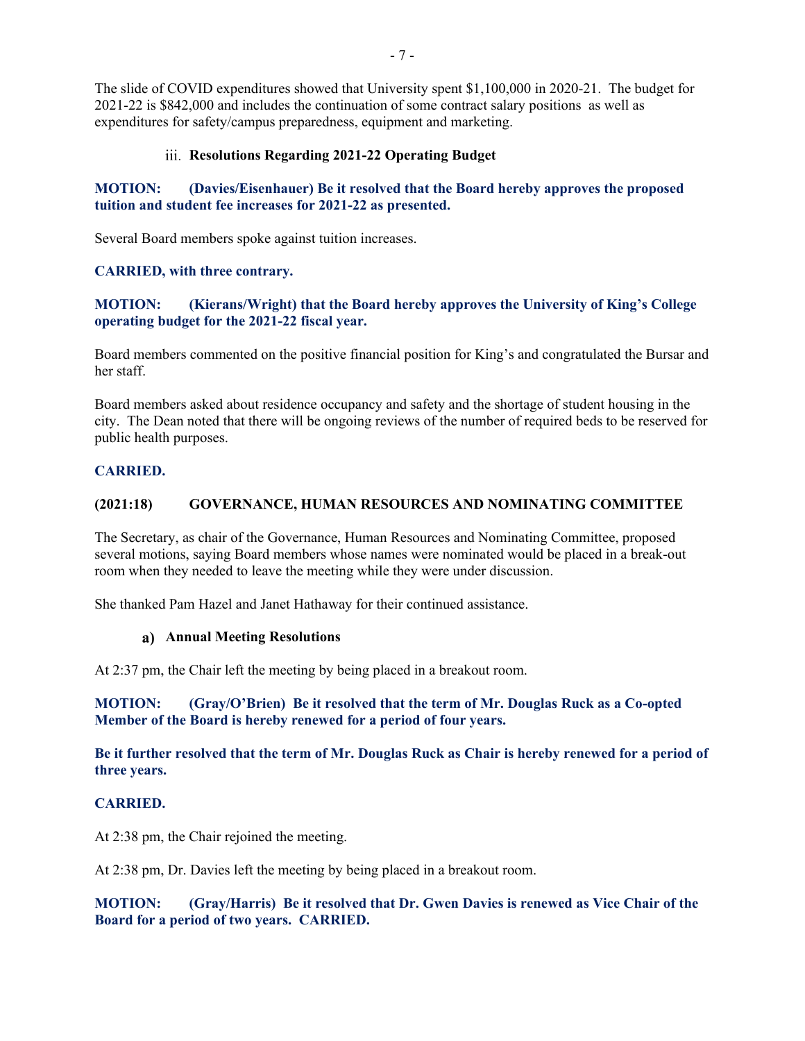The slide of COVID expenditures showed that University spent \$1,100,000 in 2020-21. The budget for 2021-22 is \$842,000 and includes the continuation of some contract salary positions as well as expenditures for safety/campus preparedness, equipment and marketing.

#### **Resolutions Regarding 2021-22 Operating Budget**

# **MOTION: (Davies/Eisenhauer) Be it resolved that the Board hereby approves the proposed tuition and student fee increases for 2021-22 as presented.**

Several Board members spoke against tuition increases.

#### **CARRIED, with three contrary.**

## **MOTION: (Kierans/Wright) that the Board hereby approves the University of King's College operating budget for the 2021-22 fiscal year.**

Board members commented on the positive financial position for King's and congratulated the Bursar and her staff.

Board members asked about residence occupancy and safety and the shortage of student housing in the city. The Dean noted that there will be ongoing reviews of the number of required beds to be reserved for public health purposes.

#### **CARRIED.**

#### **(2021:18) GOVERNANCE, HUMAN RESOURCES AND NOMINATING COMMITTEE**

The Secretary, as chair of the Governance, Human Resources and Nominating Committee, proposed several motions, saying Board members whose names were nominated would be placed in a break-out room when they needed to leave the meeting while they were under discussion.

She thanked Pam Hazel and Janet Hathaway for their continued assistance.

#### **Annual Meeting Resolutions**

At 2:37 pm, the Chair left the meeting by being placed in a breakout room.

## **MOTION: (Gray/O'Brien) Be it resolved that the term of Mr. Douglas Ruck as a Co-opted Member of the Board is hereby renewed for a period of four years.**

**Be it further resolved that the term of Mr. Douglas Ruck as Chair is hereby renewed for a period of three years.**

## **CARRIED.**

At 2:38 pm, the Chair rejoined the meeting.

At 2:38 pm, Dr. Davies left the meeting by being placed in a breakout room.

**MOTION: (Gray/Harris) Be it resolved that Dr. Gwen Davies is renewed as Vice Chair of the Board for a period of two years. CARRIED.**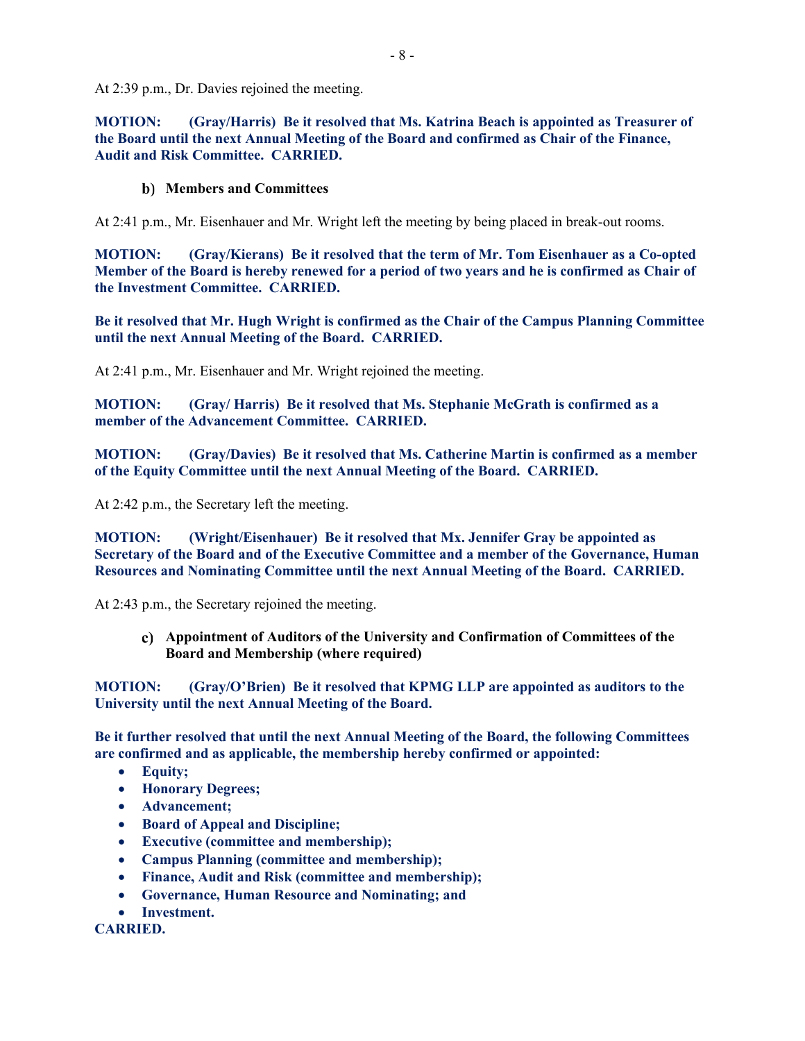At 2:39 p.m., Dr. Davies rejoined the meeting.

**MOTION: (Gray/Harris) Be it resolved that Ms. Katrina Beach is appointed as Treasurer of the Board until the next Annual Meeting of the Board and confirmed as Chair of the Finance, Audit and Risk Committee. CARRIED.**

#### **Members and Committees**

At 2:41 p.m., Mr. Eisenhauer and Mr. Wright left the meeting by being placed in break-out rooms.

**MOTION: (Gray/Kierans) Be it resolved that the term of Mr. Tom Eisenhauer as a Co-opted Member of the Board is hereby renewed for a period of two years and he is confirmed as Chair of the Investment Committee. CARRIED.**

**Be it resolved that Mr. Hugh Wright is confirmed as the Chair of the Campus Planning Committee until the next Annual Meeting of the Board. CARRIED.**

At 2:41 p.m., Mr. Eisenhauer and Mr. Wright rejoined the meeting.

**MOTION: (Gray/ Harris) Be it resolved that Ms. Stephanie McGrath is confirmed as a member of the Advancement Committee. CARRIED.**

**MOTION: (Gray/Davies) Be it resolved that Ms. Catherine Martin is confirmed as a member of the Equity Committee until the next Annual Meeting of the Board. CARRIED.**

At 2:42 p.m., the Secretary left the meeting.

**MOTION: (Wright/Eisenhauer) Be it resolved that Mx. Jennifer Gray be appointed as Secretary of the Board and of the Executive Committee and a member of the Governance, Human Resources and Nominating Committee until the next Annual Meeting of the Board. CARRIED.**

At 2:43 p.m., the Secretary rejoined the meeting.

**Appointment of Auditors of the University and Confirmation of Committees of the Board and Membership (where required)**

**MOTION: (Gray/O'Brien) Be it resolved that KPMG LLP are appointed as auditors to the University until the next Annual Meeting of the Board.**

**Be it further resolved that until the next Annual Meeting of the Board, the following Committees are confirmed and as applicable, the membership hereby confirmed or appointed:**

- **Equity;**
- **Honorary Degrees;**
- **Advancement;**
- **Board of Appeal and Discipline;**
- **Executive (committee and membership);**
- **Campus Planning (committee and membership);**
- **Finance, Audit and Risk (committee and membership);**
- **Governance, Human Resource and Nominating; and**
- **Investment.**

## **CARRIED.**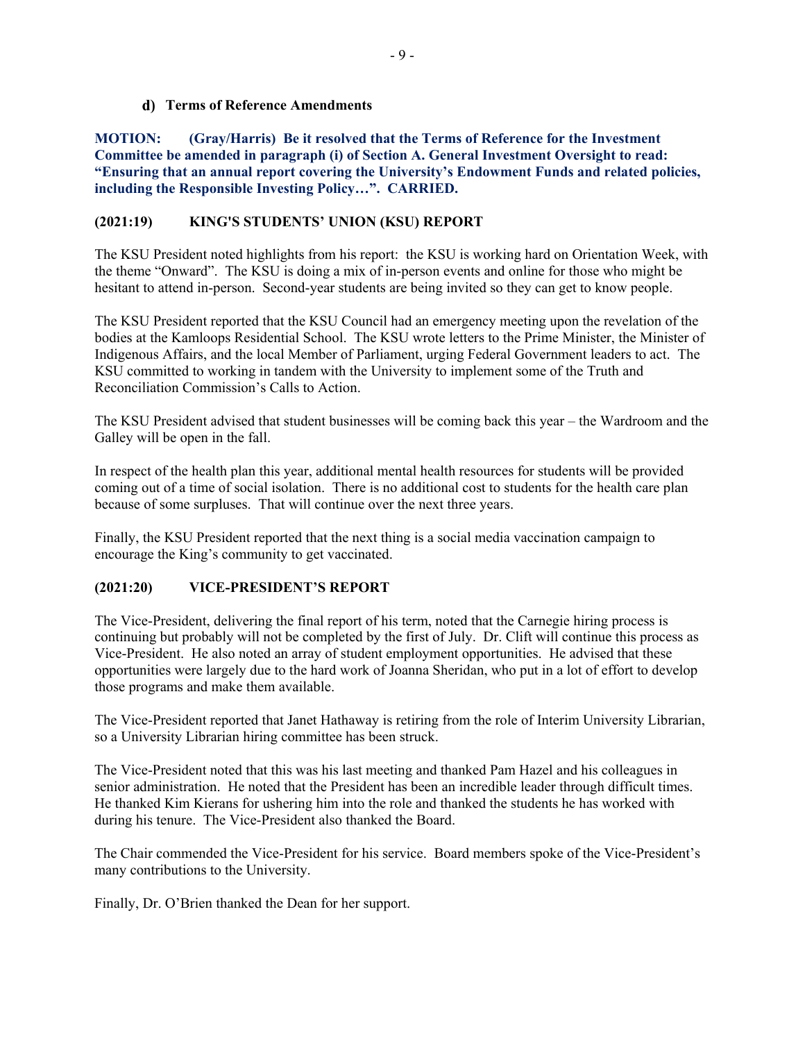## **Terms of Reference Amendments**

**MOTION: (Gray/Harris) Be it resolved that the Terms of Reference for the Investment Committee be amended in paragraph (i) of Section A. General Investment Oversight to read: "Ensuring that an annual report covering the University's Endowment Funds and related policies, including the Responsible Investing Policy…". CARRIED.**

# **(2021:19) KING'S STUDENTS' UNION (KSU) REPORT**

The KSU President noted highlights from his report: the KSU is working hard on Orientation Week, with the theme "Onward". The KSU is doing a mix of in-person events and online for those who might be hesitant to attend in-person. Second-year students are being invited so they can get to know people.

The KSU President reported that the KSU Council had an emergency meeting upon the revelation of the bodies at the Kamloops Residential School. The KSU wrote letters to the Prime Minister, the Minister of Indigenous Affairs, and the local Member of Parliament, urging Federal Government leaders to act. The KSU committed to working in tandem with the University to implement some of the Truth and Reconciliation Commission's Calls to Action.

The KSU President advised that student businesses will be coming back this year – the Wardroom and the Galley will be open in the fall.

In respect of the health plan this year, additional mental health resources for students will be provided coming out of a time of social isolation. There is no additional cost to students for the health care plan because of some surpluses. That will continue over the next three years.

Finally, the KSU President reported that the next thing is a social media vaccination campaign to encourage the King's community to get vaccinated.

# **(2021:20) VICE-PRESIDENT'S REPORT**

The Vice-President, delivering the final report of his term, noted that the Carnegie hiring process is continuing but probably will not be completed by the first of July. Dr. Clift will continue this process as Vice-President. He also noted an array of student employment opportunities. He advised that these opportunities were largely due to the hard work of Joanna Sheridan, who put in a lot of effort to develop those programs and make them available.

The Vice-President reported that Janet Hathaway is retiring from the role of Interim University Librarian, so a University Librarian hiring committee has been struck.

The Vice-President noted that this was his last meeting and thanked Pam Hazel and his colleagues in senior administration. He noted that the President has been an incredible leader through difficult times. He thanked Kim Kierans for ushering him into the role and thanked the students he has worked with during his tenure. The Vice-President also thanked the Board.

The Chair commended the Vice-President for his service. Board members spoke of the Vice-President's many contributions to the University.

Finally, Dr. O'Brien thanked the Dean for her support.